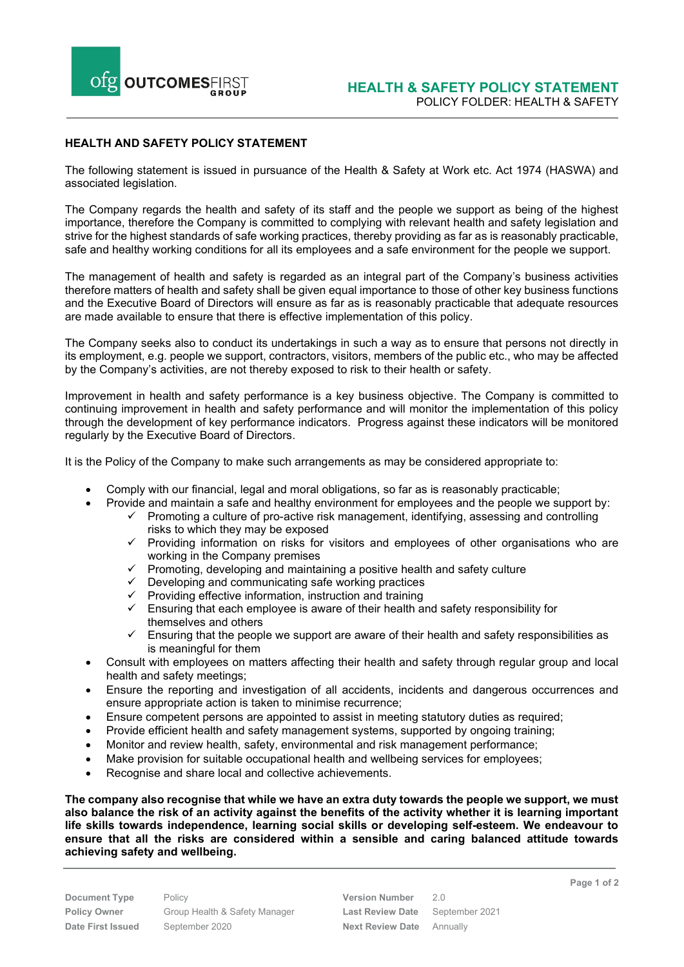

## **HEALTH AND SAFETY POLICY STATEMENT**

The following statement is issued in pursuance of the Health & Safety at Work etc. Act 1974 (HASWA) and associated legislation.

The Company regards the health and safety of its staff and the people we support as being of the highest importance, therefore the Company is committed to complying with relevant health and safety legislation and strive for the highest standards of safe working practices, thereby providing as far as is reasonably practicable, safe and healthy working conditions for all its employees and a safe environment for the people we support.

The management of health and safety is regarded as an integral part of the Company's business activities therefore matters of health and safety shall be given equal importance to those of other key business functions and the Executive Board of Directors will ensure as far as is reasonably practicable that adequate resources are made available to ensure that there is effective implementation of this policy.

The Company seeks also to conduct its undertakings in such a way as to ensure that persons not directly in its employment, e.g. people we support, contractors, visitors, members of the public etc., who may be affected by the Company's activities, are not thereby exposed to risk to their health or safety.

Improvement in health and safety performance is a key business objective. The Company is committed to continuing improvement in health and safety performance and will monitor the implementation of this policy through the development of key performance indicators. Progress against these indicators will be monitored regularly by the Executive Board of Directors.

It is the Policy of the Company to make such arrangements as may be considered appropriate to:

- Comply with our financial, legal and moral obligations, so far as is reasonably practicable;
	- Provide and maintain a safe and healthy environment for employees and the people we support by:  $\checkmark$  Promoting a culture of pro-active risk management, identifying, assessing and controlling
		- risks to which they may be exposed  $\checkmark$  Providing information on risks for visitors and employees of other organisations who are working in the Company premises
		- $\checkmark$  Promoting, developing and maintaining a positive health and safety culture
		- $\checkmark$  Developing and communicating safe working practices
		- $\checkmark$  Providing effective information, instruction and training
		- $\checkmark$  Ensuring that each employee is aware of their health and safety responsibility for themselves and others
		- $\checkmark$  Ensuring that the people we support are aware of their health and safety responsibilities as is meaningful for them
- Consult with employees on matters affecting their health and safety through regular group and local health and safety meetings;
- Ensure the reporting and investigation of all accidents, incidents and dangerous occurrences and ensure appropriate action is taken to minimise recurrence;
- Ensure competent persons are appointed to assist in meeting statutory duties as required;
- Provide efficient health and safety management systems, supported by ongoing training;
- Monitor and review health, safety, environmental and risk management performance;
- Make provision for suitable occupational health and wellbeing services for employees;
- Recognise and share local and collective achievements.

**The company also recognise that while we have an extra duty towards the people we support, we must also balance the risk of an activity against the benefits of the activity whether it is learning important life skills towards independence, learning social skills or developing self-esteem. We endeavour to ensure that all the risks are considered within a sensible and caring balanced attitude towards achieving safety and wellbeing.**

**Document Type** Policy **Policy Policy Version Number** 2.0 **Date First Issued** September 2020 **Next Review Date** Annually

**Policy Owner** Group Health & Safety Manager **Last Review Date** September 2021